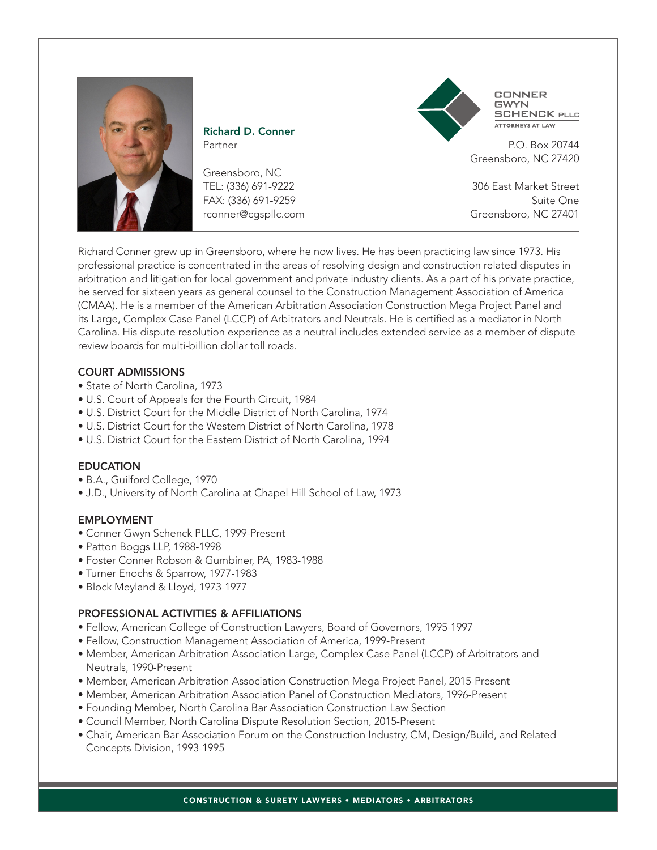

Richard D. Conner Partner

Greensboro, NC TEL: (336) 691-9222 FAX: (336) 691-9259 rconner@cgspllc.com



**CONNER GWYN SCHENCK PLLC RNEYS AT LAW** 

P.O. Box 20744 Greensboro, NC 27420

306 East Market Street Suite One Greensboro, NC 27401

Richard Conner grew up in Greensboro, where he now lives. He has been practicing law since 1973. His professional practice is concentrated in the areas of resolving design and construction related disputes in arbitration and litigation for local government and private industry clients. As a part of his private practice, he served for sixteen years as general counsel to the Construction Management Association of America (CMAA). He is a member of the American Arbitration Association Construction Mega Project Panel and its Large, Complex Case Panel (LCCP) of Arbitrators and Neutrals. He is certified as a mediator in North Carolina. His dispute resolution experience as a neutral includes extended service as a member of dispute review boards for multi-billion dollar toll roads.

## COURT ADMISSIONS

- State of North Carolina, 1973
- U.S. Court of Appeals for the Fourth Circuit, 1984
- U.S. District Court for the Middle District of North Carolina, 1974
- U.S. District Court for the Western District of North Carolina, 1978
- U.S. District Court for the Eastern District of North Carolina, 1994

#### EDUCATION

- B.A., Guilford College, 1970
- J.D., University of North Carolina at Chapel Hill School of Law, 1973

#### EMPLOYMENT

- Conner Gwyn Schenck PLLC, 1999-Present
- Patton Boggs LLP, 1988-1998
- Foster Conner Robson & Gumbiner, PA, 1983-1988
- Turner Enochs & Sparrow, 1977-1983
- Block Meyland & Lloyd, 1973-1977

## PROFESSIONAL ACTIVITIES & AFFILIATIONS

- Fellow, American College of Construction Lawyers, Board of Governors, 1995-1997
- Fellow, Construction Management Association of America, 1999-Present
- Member, American Arbitration Association Large, Complex Case Panel (LCCP) of Arbitrators and Neutrals, 1990-Present
- Member, American Arbitration Association Construction Mega Project Panel, 2015-Present
- Member, American Arbitration Association Panel of Construction Mediators, 1996-Present
- Founding Member, North Carolina Bar Association Construction Law Section
- Council Member, North Carolina Dispute Resolution Section, 2015-Present
- Chair, American Bar Association Forum on the Construction Industry, CM, Design/Build, and Related Concepts Division, 1993-1995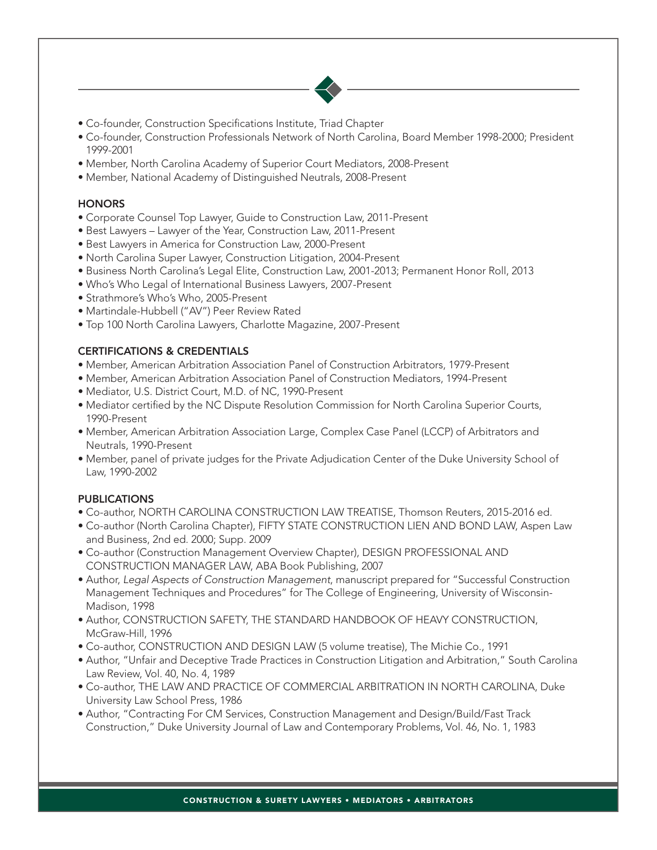

- Co-founder, Construction Specifications Institute, Triad Chapter
- Co-founder, Construction Professionals Network of North Carolina, Board Member 1998-2000; President 1999-2001
- Member, North Carolina Academy of Superior Court Mediators, 2008-Present
- Member, National Academy of Distinguished Neutrals, 2008-Present

#### **HONORS**

- Corporate Counsel Top Lawyer, Guide to Construction Law, 2011-Present
- Best Lawyers Lawyer of the Year, Construction Law, 2011-Present
- Best Lawyers in America for Construction Law, 2000-Present
- North Carolina Super Lawyer, Construction Litigation, 2004-Present
- Business North Carolina's Legal Elite, Construction Law, 2001-2013; Permanent Honor Roll, 2013
- Who's Who Legal of International Business Lawyers, 2007-Present
- Strathmore's Who's Who, 2005-Present
- Martindale-Hubbell ("AV") Peer Review Rated
- Top 100 North Carolina Lawyers, Charlotte Magazine, 2007-Present

## CERTIFICATIONS & CREDENTIALS

- Member, American Arbitration Association Panel of Construction Arbitrators, 1979-Present
- Member, American Arbitration Association Panel of Construction Mediators, 1994-Present
- Mediator, U.S. District Court, M.D. of NC, 1990-Present
- Mediator certified by the NC Dispute Resolution Commission for North Carolina Superior Courts, 1990-Present
- Member, American Arbitration Association Large, Complex Case Panel (LCCP) of Arbitrators and Neutrals, 1990-Present
- Member, panel of private judges for the Private Adjudication Center of the Duke University School of Law, 1990-2002

## PUBLICATIONS

- Co-author, NORTH CAROLINA CONSTRUCTION LAW TREATISE, Thomson Reuters, 2015-2016 ed.
- Co-author (North Carolina Chapter), FIFTY STATE CONSTRUCTION LIEN AND BOND LAW, Aspen Law and Business, 2nd ed. 2000; Supp. 2009
- Co-author (Construction Management Overview Chapter), DESIGN PROFESSIONAL AND CONSTRUCTION MANAGER LAW, ABA Book Publishing, 2007
- Author, *Legal Aspects of Construction Management*, manuscript prepared for "Successful Construction Management Techniques and Procedures" for The College of Engineering, University of Wisconsin-Madison, 1998
- Author, CONSTRUCTION SAFETY, THE STANDARD HANDBOOK OF HEAVY CONSTRUCTION, McGraw-Hill, 1996
- Co-author, CONSTRUCTION AND DESIGN LAW (5 volume treatise), The Michie Co., 1991
- Author, "Unfair and Deceptive Trade Practices in Construction Litigation and Arbitration," South Carolina Law Review, Vol. 40, No. 4, 1989
- Co-author, THE LAW AND PRACTICE OF COMMERCIAL ARBITRATION IN NORTH CAROLINA, Duke University Law School Press, 1986
- Author, "Contracting For CM Services, Construction Management and Design/Build/Fast Track Construction," Duke University Journal of Law and Contemporary Problems, Vol. 46, No. 1, 1983